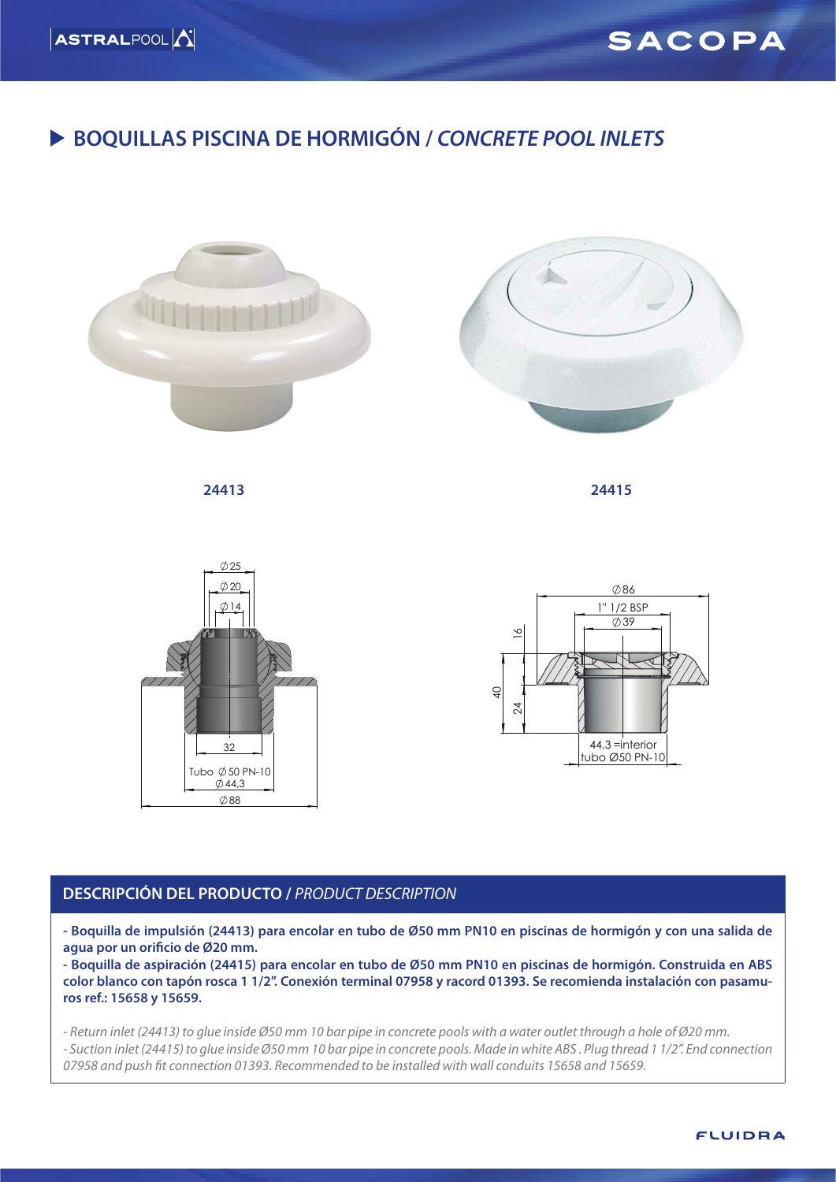

### **BOQUILLAS PISCINA DE HORMIGÓN /** *CONCRETE POOL INLETS*



#### **DESCRIPCIÓN DEL PRODUCTO /** *PRODUCT DESCRIPTION*

**- Boquilla de impulsión (24413) para encolar en tubo de Ø50 mm PN10 en piscinas de hormigón y con una salida de agua por un orificio de Ø20 mm.**

**- Boquilla de aspiración (24415) para encolar en tubo de Ø50 mm PN10 en piscinas de hormigón. Construida en ABS color blanco con tapón rosca 1 1/2''. Conexión terminal 07958 y racord 01393. Se recomienda instalación con pasamuros ref.: 15658 y 15659.**

*- Return inlet (24413) to glue inside Ø50 mm 10 bar pipe in concrete pools with a water outlet through a hole of Ø20 mm. - Suction inlet (24415) to glue inside Ø50 mm 10 bar pipe in concrete pools. Made in white ABS . Plug thread 1 1/2''. End connection 07958 and push fit connection 01393. Recommended to be installed with wall conduits 15658 and 15659.*